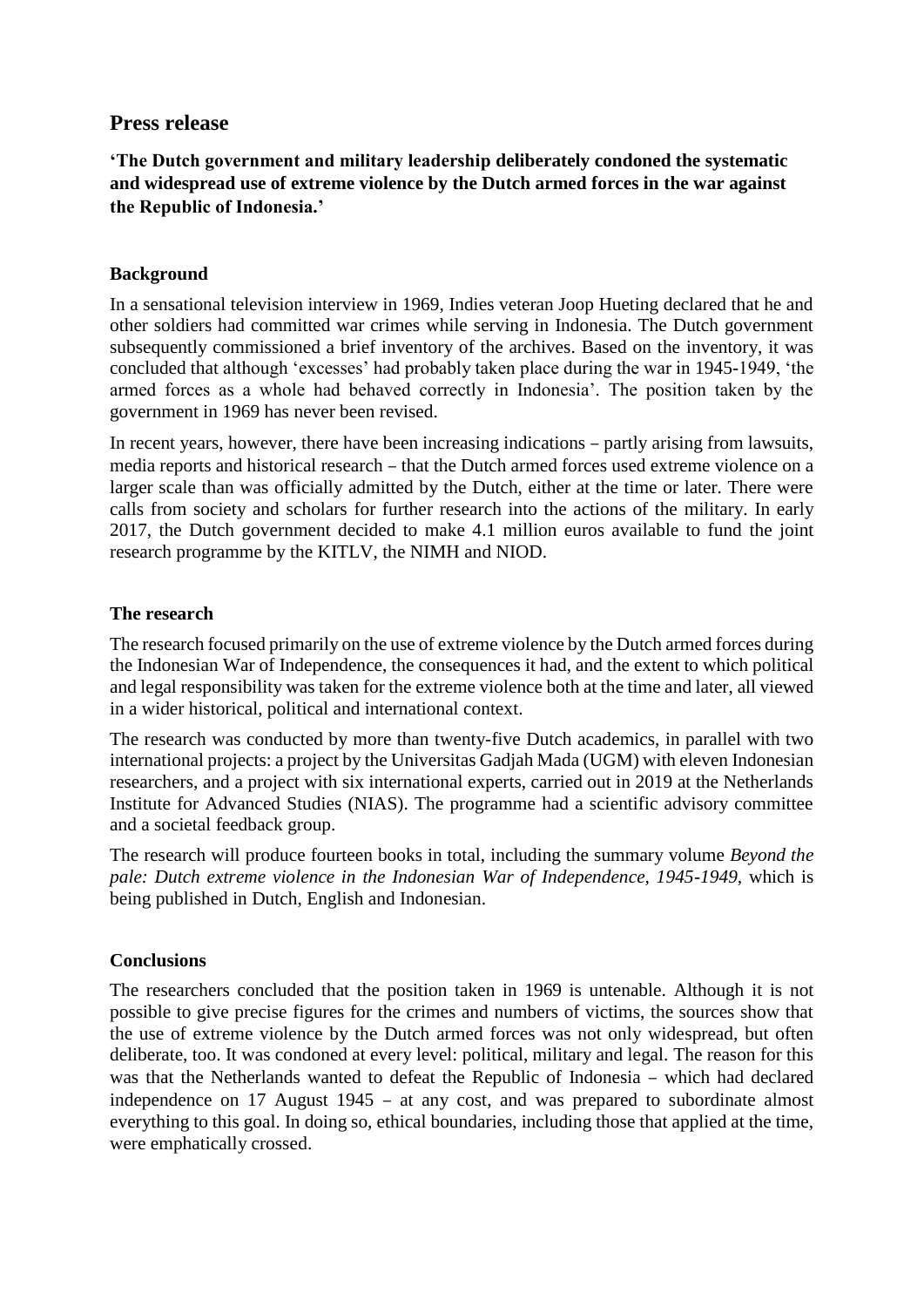## **Press release**

**'The Dutch government and military leadership deliberately condoned the systematic and widespread use of extreme violence by the Dutch armed forces in the war against the Republic of Indonesia.'**

## **Background**

In a sensational television interview in 1969, Indies veteran Joop Hueting declared that he and other soldiers had committed war crimes while serving in Indonesia. The Dutch government subsequently commissioned a brief inventory of the archives. Based on the inventory, it was concluded that although 'excesses' had probably taken place during the war in 1945-1949, 'the armed forces as a whole had behaved correctly in Indonesia'. The position taken by the government in 1969 has never been revised.

In recent years, however, there have been increasing indications – partly arising from lawsuits, media reports and historical research – that the Dutch armed forces used extreme violence on a larger scale than was officially admitted by the Dutch, either at the time or later. There were calls from society and scholars for further research into the actions of the military. In early 2017, the Dutch government decided to make 4.1 million euros available to fund the joint research programme by the KITLV, the NIMH and NIOD.

## **The research**

The research focused primarily on the use of extreme violence by the Dutch armed forces during the Indonesian War of Independence, the consequences it had, and the extent to which political and legal responsibility was taken for the extreme violence both at the time and later, all viewed in a wider historical, political and international context.

The research was conducted by more than twenty-five Dutch academics, in parallel with two international projects: a project by the Universitas Gadjah Mada (UGM) with eleven Indonesian researchers, and a project with six international experts, carried out in 2019 at the Netherlands Institute for Advanced Studies (NIAS). The programme had a scientific advisory committee and a societal feedback group.

The research will produce fourteen books in total, including the summary volume *Beyond the pale: Dutch extreme violence in the Indonesian War of Independence, 1945-1949,* which is being published in Dutch, English and Indonesian.

## **Conclusions**

The researchers concluded that the position taken in 1969 is untenable. Although it is not possible to give precise figures for the crimes and numbers of victims, the sources show that the use of extreme violence by the Dutch armed forces was not only widespread, but often deliberate, too. It was condoned at every level: political, military and legal. The reason for this was that the Netherlands wanted to defeat the Republic of Indonesia – which had declared independence on 17 August 1945 – at any cost, and was prepared to subordinate almost everything to this goal. In doing so, ethical boundaries, including those that applied at the time, were emphatically crossed.